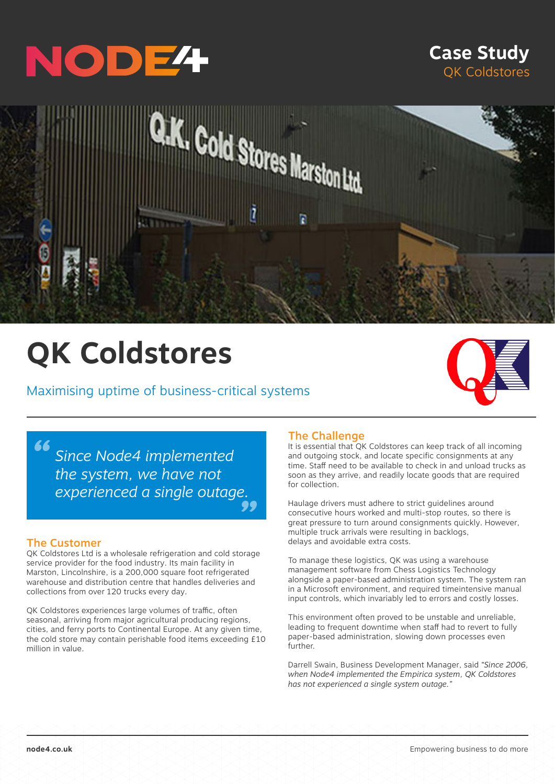

# **Case Study** QK Coldstores



# **QK Coldstores**

# Maximising uptime of business-critical systems



*" " experienced a single outage. Since Node4 implemented the system, we have not* 

#### The Customer

QK Coldstores Ltd is a wholesale refrigeration and cold storage service provider for the food industry. Its main facility in Marston, Lincolnshire, is a 200,000 square foot refrigerated warehouse and distribution centre that handles deliveries and collections from over 120 trucks every day.

QK Coldstores experiences large volumes of traffic, often seasonal, arriving from major agricultural producing regions, cities, and ferry ports to Continental Europe. At any given time, the cold store may contain perishable food items exceeding £10 million in value.

## The Challenge

It is essential that QK Coldstores can keep track of all incoming and outgoing stock, and locate specific consignments at any time. Staff need to be available to check in and unload trucks as soon as they arrive, and readily locate goods that are required for collection.

Haulage drivers must adhere to strict guidelines around consecutive hours worked and multi-stop routes, so there is great pressure to turn around consignments quickly. However, multiple truck arrivals were resulting in backlogs, delays and avoidable extra costs.

To manage these logistics, QK was using a warehouse management software from Chess Logistics Technology alongside a paper-based administration system. The system ran in a Microsoft environment, and required timeintensive manual input controls, which invariably led to errors and costly losses.

This environment often proved to be unstable and unreliable, leading to frequent downtime when staff had to revert to fully paper-based administration, slowing down processes even further.

Darrell Swain, Business Development Manager, said *"Since 2006, when Node4 implemented the Empirica system, QK Coldstores has not experienced a single system outage."*